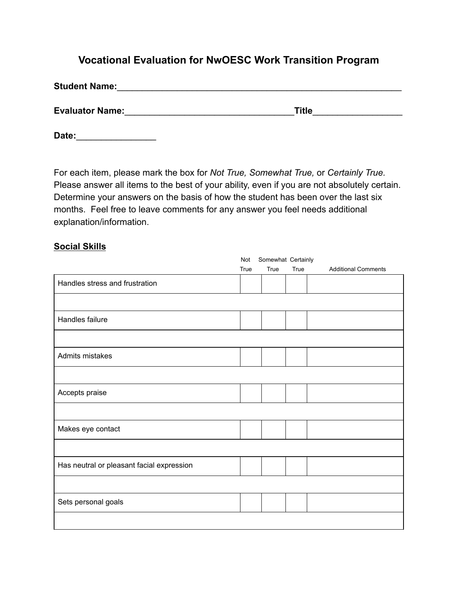# **Vocational Evaluation for NwOESC Work Transition Program**

| <b>Student Name:</b>   |              |  |
|------------------------|--------------|--|
| <b>Evaluator Name:</b> | <b>Title</b> |  |

**Date:**\_\_\_\_\_\_\_\_\_\_\_\_\_\_\_\_

For each item, please mark the box for *Not True, Somewhat True,* or *Certainly True.* Please answer all items to the best of your ability, even if you are not absolutely certain. Determine your answers on the basis of how the student has been over the last six months. Feel free to leave comments for any answer you feel needs additional explanation/information.

#### **Social Skills**

|                                           | Somewhat Certainly<br>Not |      |      |                            |  |  |
|-------------------------------------------|---------------------------|------|------|----------------------------|--|--|
|                                           | True                      | True | True | <b>Additional Comments</b> |  |  |
| Handles stress and frustration            |                           |      |      |                            |  |  |
|                                           |                           |      |      |                            |  |  |
| Handles failure                           |                           |      |      |                            |  |  |
|                                           |                           |      |      |                            |  |  |
| Admits mistakes                           |                           |      |      |                            |  |  |
|                                           |                           |      |      |                            |  |  |
| Accepts praise                            |                           |      |      |                            |  |  |
|                                           |                           |      |      |                            |  |  |
| Makes eye contact                         |                           |      |      |                            |  |  |
|                                           |                           |      |      |                            |  |  |
| Has neutral or pleasant facial expression |                           |      |      |                            |  |  |
|                                           |                           |      |      |                            |  |  |
| Sets personal goals                       |                           |      |      |                            |  |  |
|                                           |                           |      |      |                            |  |  |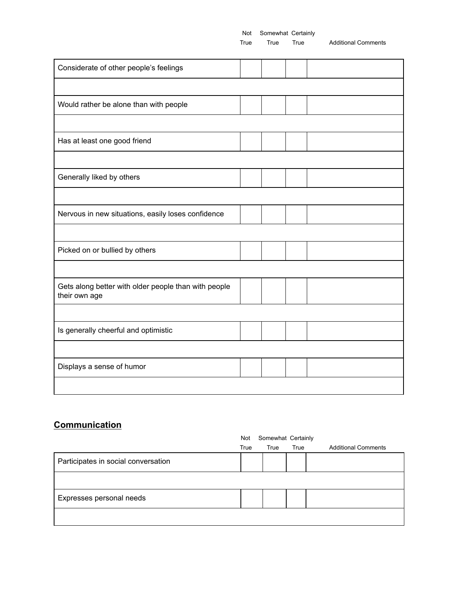True True True Additional Comments

| Considerate of other people's feelings                                |  |  |
|-----------------------------------------------------------------------|--|--|
|                                                                       |  |  |
| Would rather be alone than with people                                |  |  |
|                                                                       |  |  |
| Has at least one good friend                                          |  |  |
|                                                                       |  |  |
| Generally liked by others                                             |  |  |
|                                                                       |  |  |
| Nervous in new situations, easily loses confidence                    |  |  |
|                                                                       |  |  |
| Picked on or bullied by others                                        |  |  |
|                                                                       |  |  |
| Gets along better with older people than with people<br>their own age |  |  |
|                                                                       |  |  |
| Is generally cheerful and optimistic                                  |  |  |
|                                                                       |  |  |
| Displays a sense of humor                                             |  |  |
|                                                                       |  |  |

#### **Communication**

|                                     | Somewhat Certainly<br>Not |      |      |                            |  |  |  |
|-------------------------------------|---------------------------|------|------|----------------------------|--|--|--|
|                                     | True                      | True | True | <b>Additional Comments</b> |  |  |  |
| Participates in social conversation |                           |      |      |                            |  |  |  |
|                                     |                           |      |      |                            |  |  |  |
| Expresses personal needs            |                           |      |      |                            |  |  |  |
|                                     |                           |      |      |                            |  |  |  |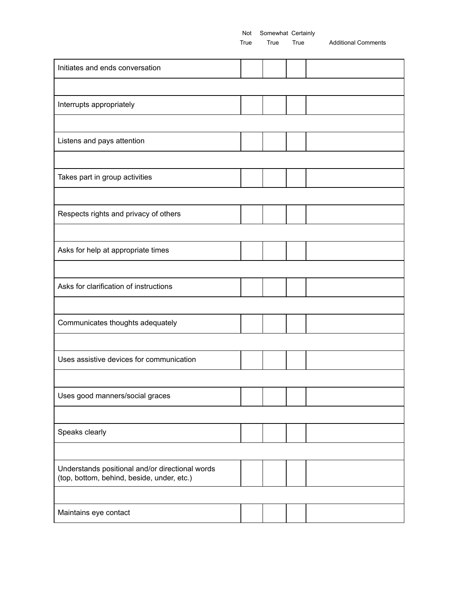True True True Additional Comments

| Initiates and ends conversation                                                               |  |  |  |  |  |  |  |
|-----------------------------------------------------------------------------------------------|--|--|--|--|--|--|--|
|                                                                                               |  |  |  |  |  |  |  |
| Interrupts appropriately                                                                      |  |  |  |  |  |  |  |
|                                                                                               |  |  |  |  |  |  |  |
| Listens and pays attention                                                                    |  |  |  |  |  |  |  |
|                                                                                               |  |  |  |  |  |  |  |
| Takes part in group activities                                                                |  |  |  |  |  |  |  |
|                                                                                               |  |  |  |  |  |  |  |
| Respects rights and privacy of others                                                         |  |  |  |  |  |  |  |
|                                                                                               |  |  |  |  |  |  |  |
| Asks for help at appropriate times                                                            |  |  |  |  |  |  |  |
|                                                                                               |  |  |  |  |  |  |  |
| Asks for clarification of instructions                                                        |  |  |  |  |  |  |  |
|                                                                                               |  |  |  |  |  |  |  |
| Communicates thoughts adequately                                                              |  |  |  |  |  |  |  |
|                                                                                               |  |  |  |  |  |  |  |
| Uses assistive devices for communication                                                      |  |  |  |  |  |  |  |
|                                                                                               |  |  |  |  |  |  |  |
| Uses good manners/social graces                                                               |  |  |  |  |  |  |  |
|                                                                                               |  |  |  |  |  |  |  |
| Speaks clearly                                                                                |  |  |  |  |  |  |  |
|                                                                                               |  |  |  |  |  |  |  |
| Understands positional and/or directional words<br>(top, bottom, behind, beside, under, etc.) |  |  |  |  |  |  |  |
|                                                                                               |  |  |  |  |  |  |  |
| Maintains eye contact                                                                         |  |  |  |  |  |  |  |
|                                                                                               |  |  |  |  |  |  |  |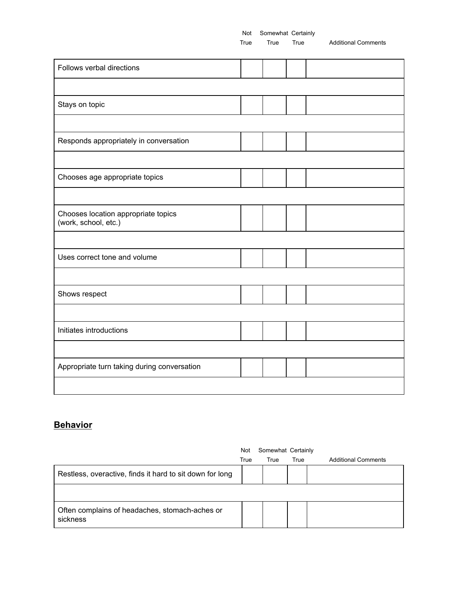True True True Additional Comments

| Follows verbal directions                                   |  |  |
|-------------------------------------------------------------|--|--|
|                                                             |  |  |
| Stays on topic                                              |  |  |
|                                                             |  |  |
| Responds appropriately in conversation                      |  |  |
|                                                             |  |  |
| Chooses age appropriate topics                              |  |  |
|                                                             |  |  |
| Chooses location appropriate topics<br>(work, school, etc.) |  |  |
|                                                             |  |  |
| Uses correct tone and volume                                |  |  |
|                                                             |  |  |
| Shows respect                                               |  |  |
|                                                             |  |  |
| Initiates introductions                                     |  |  |
|                                                             |  |  |
| Appropriate turn taking during conversation                 |  |  |
|                                                             |  |  |

### **Behavior**

|                                                            | Not  | Somewhat Certainly |      |                            |  |  |  |
|------------------------------------------------------------|------|--------------------|------|----------------------------|--|--|--|
|                                                            | True | True               | True | <b>Additional Comments</b> |  |  |  |
| Restless, overactive, finds it hard to sit down for long   |      |                    |      |                            |  |  |  |
|                                                            |      |                    |      |                            |  |  |  |
| Often complains of headaches, stomach-aches or<br>sickness |      |                    |      |                            |  |  |  |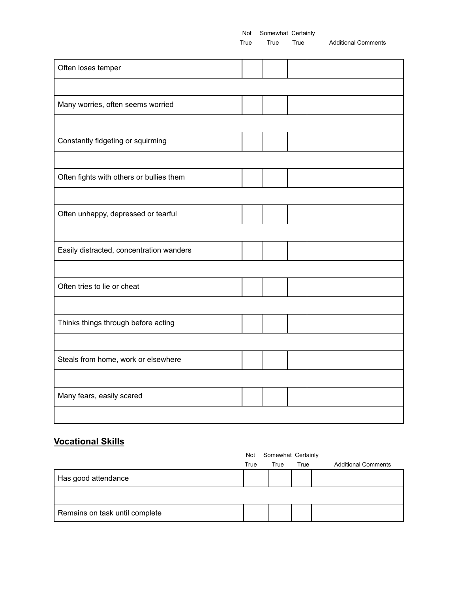True True True Additional Comments

| Often loses temper                       |  |  |
|------------------------------------------|--|--|
|                                          |  |  |
| Many worries, often seems worried        |  |  |
|                                          |  |  |
| Constantly fidgeting or squirming        |  |  |
|                                          |  |  |
| Often fights with others or bullies them |  |  |
|                                          |  |  |
| Often unhappy, depressed or tearful      |  |  |
|                                          |  |  |
| Easily distracted, concentration wanders |  |  |
|                                          |  |  |
| Often tries to lie or cheat              |  |  |
|                                          |  |  |
| Thinks things through before acting      |  |  |
|                                          |  |  |
| Steals from home, work or elsewhere      |  |  |
|                                          |  |  |
| Many fears, easily scared                |  |  |
|                                          |  |  |

## **Vocational Skills**

|                                | Somewhat Certainly<br>Not |      |      |                            |  |  |  |
|--------------------------------|---------------------------|------|------|----------------------------|--|--|--|
|                                | True                      | True | True | <b>Additional Comments</b> |  |  |  |
| Has good attendance            |                           |      |      |                            |  |  |  |
|                                |                           |      |      |                            |  |  |  |
| Remains on task until complete |                           |      |      |                            |  |  |  |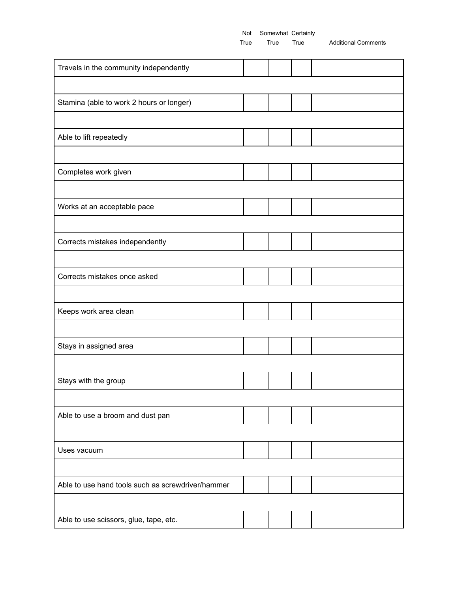True True True Additional Comments

| Travels in the community independently            |  |  |
|---------------------------------------------------|--|--|
|                                                   |  |  |
| Stamina (able to work 2 hours or longer)          |  |  |
|                                                   |  |  |
| Able to lift repeatedly                           |  |  |
|                                                   |  |  |
| Completes work given                              |  |  |
|                                                   |  |  |
| Works at an acceptable pace                       |  |  |
|                                                   |  |  |
| Corrects mistakes independently                   |  |  |
|                                                   |  |  |
| Corrects mistakes once asked                      |  |  |
|                                                   |  |  |
| Keeps work area clean                             |  |  |
|                                                   |  |  |
| Stays in assigned area                            |  |  |
|                                                   |  |  |
| Stays with the group                              |  |  |
|                                                   |  |  |
| Able to use a broom and dust pan                  |  |  |
|                                                   |  |  |
| Uses vacuum                                       |  |  |
|                                                   |  |  |
| Able to use hand tools such as screwdriver/hammer |  |  |
|                                                   |  |  |
| Able to use scissors, glue, tape, etc.            |  |  |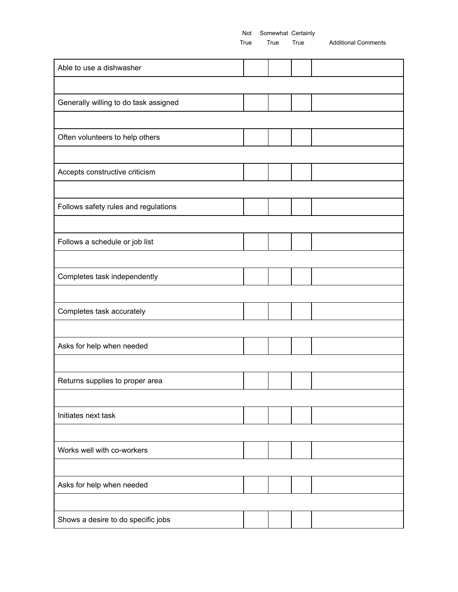True True True Additional Comments

| Able to use a dishwasher              |  |  |
|---------------------------------------|--|--|
|                                       |  |  |
| Generally willing to do task assigned |  |  |
|                                       |  |  |
| Often volunteers to help others       |  |  |
|                                       |  |  |
| Accepts constructive criticism        |  |  |
|                                       |  |  |
| Follows safety rules and regulations  |  |  |
|                                       |  |  |
| Follows a schedule or job list        |  |  |
|                                       |  |  |
| Completes task independently          |  |  |
|                                       |  |  |
| Completes task accurately             |  |  |
|                                       |  |  |
| Asks for help when needed             |  |  |
|                                       |  |  |
| Returns supplies to proper area       |  |  |
|                                       |  |  |
| Initiates next task                   |  |  |
|                                       |  |  |
| Works well with co-workers            |  |  |
|                                       |  |  |
| Asks for help when needed             |  |  |
|                                       |  |  |
| Shows a desire to do specific jobs    |  |  |